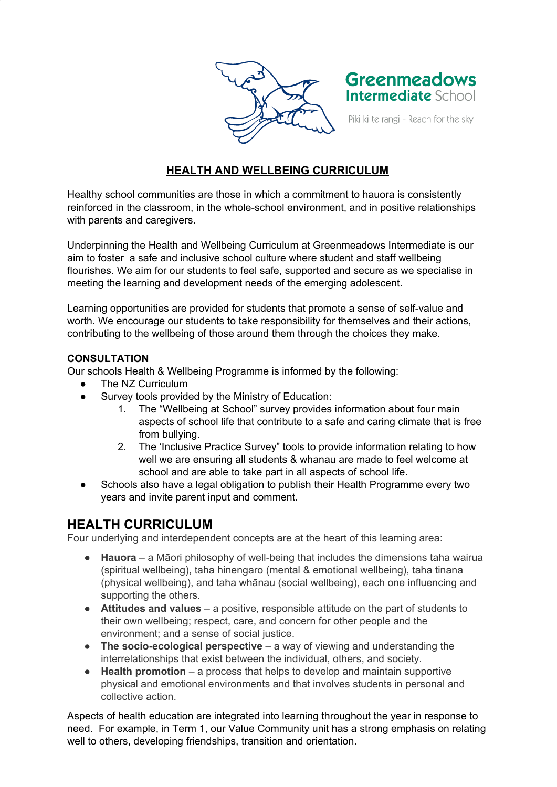



Piki ki te rangi - Reach for the sky

# **HEALTH AND WELLBEING CURRICULUM**

Healthy school communities are those in which a commitment to hauora is consistently reinforced in the classroom, in the whole-school environment, and in positive relationships with parents and caregivers.

Underpinning the Health and Wellbeing Curriculum at Greenmeadows Intermediate is our aim to foster a safe and inclusive school culture where student and staff wellbeing flourishes. We aim for our students to feel safe, supported and secure as we specialise in meeting the learning and development needs of the emerging adolescent.

Learning opportunities are provided for students that promote a sense of self-value and worth. We encourage our students to take responsibility for themselves and their actions, contributing to the wellbeing of those around them through the choices they make.

#### **CONSULTATION**

Our schools Health & Wellbeing Programme is informed by the following:

- The NZ Curriculum
- Survey tools provided by the Ministry of Education:
	- 1. The "Wellbeing at School" survey provides information about four main aspects of school life that contribute to a safe and caring climate that is free from bullying.
	- 2. The 'Inclusive Practice Survey" tools to provide information relating to how well we are ensuring all students & whanau are made to feel welcome at school and are able to take part in all aspects of school life.
- Schools also have a legal obligation to publish their Health Programme every two years and invite parent input and comment.

# **HEALTH CURRICULUM**

Four underlying and interdependent concepts are at the heart of this learning area:

- **Hauora** a Māori philosophy of well-being that includes the dimensions taha wairua (spiritual wellbeing), taha hinengaro (mental & emotional wellbeing), taha tinana (physical wellbeing), and taha whānau (social wellbeing), each one influencing and supporting the others.
- **Attitudes and values** a positive, responsible attitude on the part of students to their own wellbeing; respect, care, and concern for other people and the environment; and a sense of social justice.
- **The socio-ecological perspective** a way of viewing and understanding the interrelationships that exist between the individual, others, and society.
- **Health promotion** a process that helps to develop and maintain supportive physical and emotional environments and that involves students in personal and collective action.

Aspects of health education are integrated into learning throughout the year in response to need. For example, in Term 1, our Value Community unit has a strong emphasis on relating well to others, developing friendships, transition and orientation.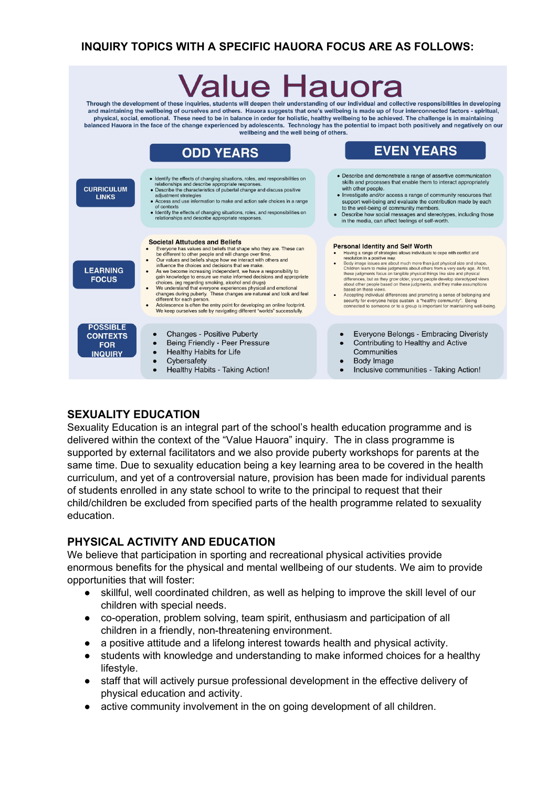# **INQUIRY TOPICS WITH A SPECIFIC HAUORA FOCUS ARE AS FOLLOWS:**

# /alue F lauora

Through the development of these inquiries, students will deepen their understanding of our individual and collective responsibilities in developing and maintaining the wellbeing of ourselves and others. Hauora suggests that one's wellbeing is made up of four interconnected factors - spiritual, physical, social, emotional. These need to be in balance in order for holistic, healthy wellbeing to be achieved. The challenge is in maintaining balanced Hauora in the face of the change experienced by adolescents. Technology has the potential to impact both positively and negatively on our wellbeing and the well being of others.



## **SEXUALITY EDUCATION**

Sexuality Education is an integral part of the school's health education programme and is delivered within the context of the "Value Hauora" inquiry. The in class programme is supported by external facilitators and we also provide puberty workshops for parents at the same time. Due to sexuality education being a key learning area to be covered in the health curriculum, and yet of a controversial nature, provision has been made for individual parents of students enrolled in any state school to write to the principal to request that their child/children be excluded from specified parts of the health programme related to sexuality education.

## **PHYSICAL ACTIVITY AND EDUCATION**

We believe that participation in sporting and recreational physical activities provide enormous benefits for the physical and mental wellbeing of our students. We aim to provide opportunities that will foster:

- skillful, well coordinated children, as well as helping to improve the skill level of our children with special needs.
- co-operation, problem solving, team spirit, enthusiasm and participation of all children in a friendly, non-threatening environment.
- a positive attitude and a lifelong interest towards health and physical activity.
- students with knowledge and understanding to make informed choices for a healthy lifestyle.
- staff that will actively pursue professional development in the effective delivery of physical education and activity.
- active community involvement in the on going development of all children.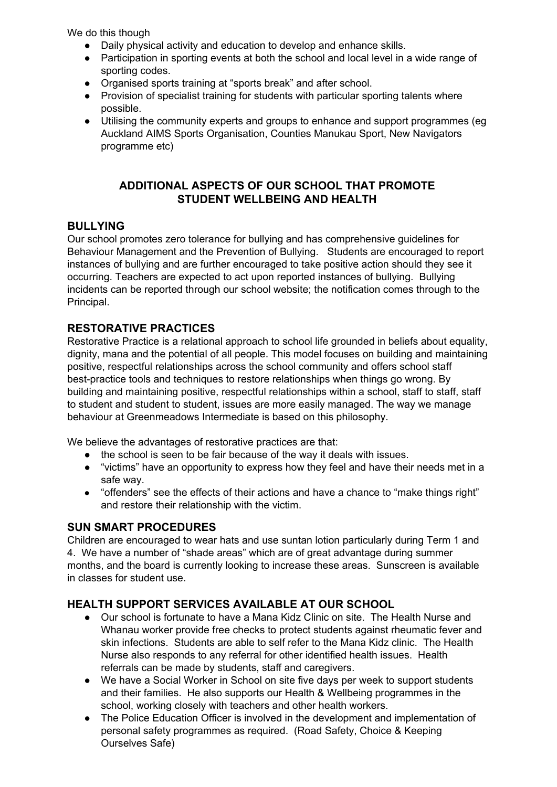We do this though

- Daily physical activity and education to develop and enhance skills.
- Participation in sporting events at both the school and local level in a wide range of sporting codes.
- Organised sports training at "sports break" and after school.
- Provision of specialist training for students with particular sporting talents where possible.
- Utilising the community experts and groups to enhance and support programmes (eg Auckland AIMS Sports Organisation, Counties Manukau Sport, New Navigators programme etc)

#### **ADDITIONAL ASPECTS OF OUR SCHOOL THAT PROMOTE STUDENT WELLBEING AND HEALTH**

#### **BULLYING**

Our school promotes zero tolerance for bullying and has comprehensive guidelines for Behaviour Management and the Prevention of Bullying. Students are encouraged to report instances of bullying and are further encouraged to take positive action should they see it occurring. Teachers are expected to act upon reported instances of bullying. Bullying incidents can be reported through our school website; the notification comes through to the Principal.

## **RESTORATIVE PRACTICES**

Restorative Practice is a relational approach to school life grounded in beliefs about equality, dignity, mana and the potential of all people. This model focuses on building and maintaining positive, respectful relationships across the school community and offers school staff best-practice tools and techniques to restore relationships when things go wrong. By building and maintaining positive, respectful relationships within a school, staff to staff, staff to student and student to student, issues are more easily managed. The way we manage behaviour at Greenmeadows Intermediate is based on this philosophy.

We believe the advantages of restorative practices are that:

- the school is seen to be fair because of the way it deals with issues.
- "victims" have an opportunity to express how they feel and have their needs met in a safe way.
- "offenders" see the effects of their actions and have a chance to "make things right" and restore their relationship with the victim.

## **SUN SMART PROCEDURES**

Children are encouraged to wear hats and use suntan lotion particularly during Term 1 and 4. We have a number of "shade areas" which are of great advantage during summer months, and the board is currently looking to increase these areas. Sunscreen is available in classes for student use.

## **HEALTH SUPPORT SERVICES AVAILABLE AT OUR SCHOOL**

- Our school is fortunate to have a Mana Kidz Clinic on site. The Health Nurse and Whanau worker provide free checks to protect students against rheumatic fever and skin infections. Students are able to self refer to the Mana Kidz clinic. The Health Nurse also responds to any referral for other identified health issues. Health referrals can be made by students, staff and caregivers.
- We have a Social Worker in School on site five days per week to support students and their families. He also supports our Health & Wellbeing programmes in the school, working closely with teachers and other health workers.
- The Police Education Officer is involved in the development and implementation of personal safety programmes as required. (Road Safety, Choice & Keeping Ourselves Safe)